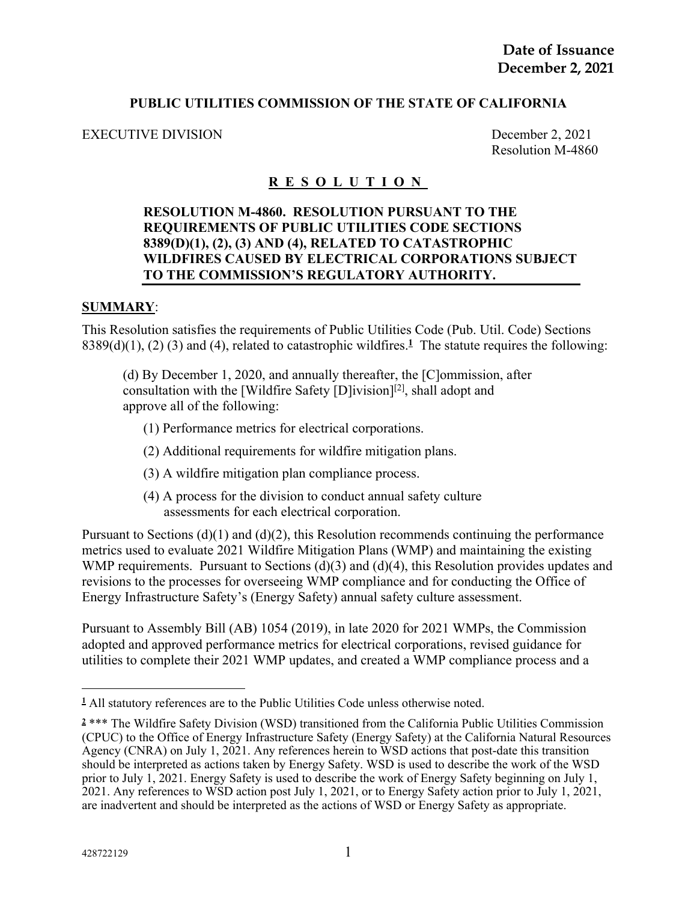### **PUBLIC UTILITIES COMMISSION OF THE STATE OF CALIFORNIA**

#### EXECUTIVE DIVISION December 2, 2021

Resolution M-4860

#### **R E S O L U T I O N**

#### **RESOLUTION M-4860. RESOLUTION PURSUANT TO THE REQUIREMENTS OF PUBLIC UTILITIES CODE SECTIONS 8389(D)(1), (2), (3) AND (4), RELATED TO CATASTROPHIC WILDFIRES CAUSED BY ELECTRICAL CORPORATIONS SUBJECT TO THE COMMISSION'S REGULATORY AUTHORITY.**

#### **SUMMARY**:

This Resolution satisfies the requirements of Public Utilities Code (Pub. Util. Code) Sections 8389(d)(1), (2) (3) and (4), related to catastrophic wildfires.**<sup>1</sup>** The statute requires the following:

(d) By December 1, 2020, and annually thereafter, the [C]ommission, after consultation with the [Wildfire Safety [D]ivision<sup>[[2]</sup>, shall adopt and approve all of the following:

(1) Performance metrics for electrical corporations.

- (2) Additional requirements for wildfire mitigation plans.
- (3) A wildfire mitigation plan compliance process.
- (4) A process for the division to conduct annual safety culture assessments for each electrical corporation.

Pursuant to Sections (d)(1) and (d)(2), this Resolution recommends continuing the performance metrics used to evaluate 2021 Wildfire Mitigation Plans (WMP) and maintaining the existing WMP requirements. Pursuant to Sections (d)(3) and (d)(4), this Resolution provides updates and revisions to the processes for overseeing WMP compliance and for conducting the Office of Energy Infrastructure Safety's (Energy Safety) annual safety culture assessment.

Pursuant to Assembly Bill (AB) 1054 (2019), in late 2020 for 2021 WMPs, the Commission adopted and approved performance metrics for electrical corporations, revised guidance for utilities to complete their 2021 WMP updates, and created a WMP compliance process and a

**<sup>1</sup>** All statutory references are to the Public Utilities Code unless otherwise noted.

**<sup>2</sup>** \*\*\* The Wildfire Safety Division (WSD) transitioned from the California Public Utilities Commission (CPUC) to the Office of Energy Infrastructure Safety (Energy Safety) at the California Natural Resources Agency (CNRA) on July 1, 2021. Any references herein to WSD actions that post-date this transition should be interpreted as actions taken by Energy Safety. WSD is used to describe the work of the WSD prior to July 1, 2021. Energy Safety is used to describe the work of Energy Safety beginning on July 1, 2021. Any references to WSD action post July 1, 2021, or to Energy Safety action prior to July 1, 2021, are inadvertent and should be interpreted as the actions of WSD or Energy Safety as appropriate.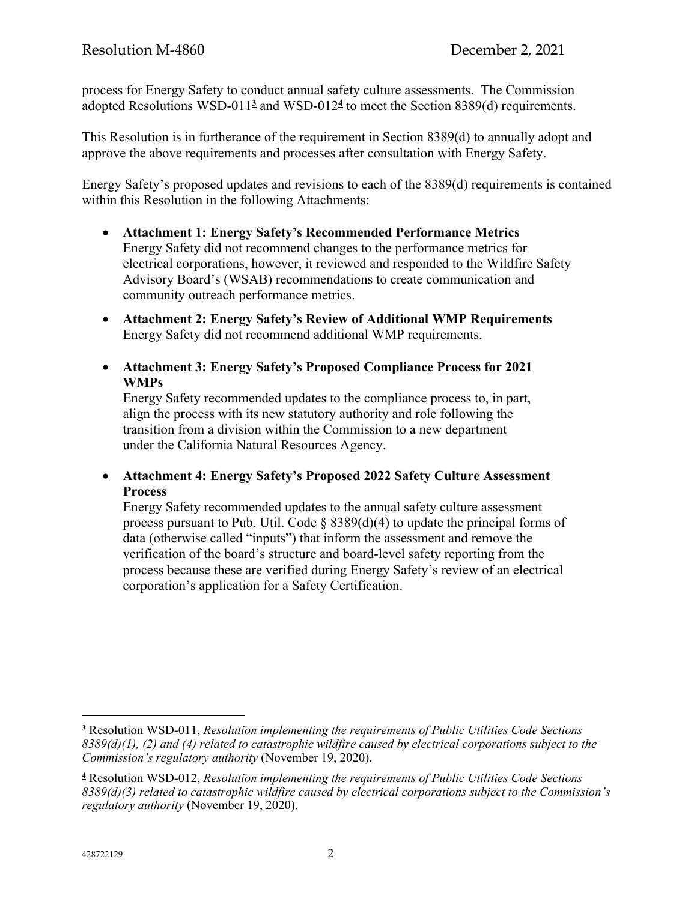process for Energy Safety to conduct annual safety culture assessments. The Commission adopted Resolutions WSD-011**<sup>3</sup>** and WSD-012**<sup>4</sup>** to meet the Section 8389(d) requirements.

This Resolution is in furtherance of the requirement in Section 8389(d) to annually adopt and approve the above requirements and processes after consultation with Energy Safety.

Energy Safety's proposed updates and revisions to each of the 8389(d) requirements is contained within this Resolution in the following Attachments:

- **Attachment 1: Energy Safety's Recommended Performance Metrics** Energy Safety did not recommend changes to the performance metrics for electrical corporations, however, it reviewed and responded to the Wildfire Safety Advisory Board's (WSAB) recommendations to create communication and community outreach performance metrics.
- **Attachment 2: Energy Safety's Review of Additional WMP Requirements** Energy Safety did not recommend additional WMP requirements.
- **Attachment 3: Energy Safety's Proposed Compliance Process for 2021 WMPs**

Energy Safety recommended updates to the compliance process to, in part, align the process with its new statutory authority and role following the transition from a division within the Commission to a new department under the California Natural Resources Agency.

 **Attachment 4: Energy Safety's Proposed 2022 Safety Culture Assessment Process**

Energy Safety recommended updates to the annual safety culture assessment process pursuant to Pub. Util. Code § 8389(d)(4) to update the principal forms of data (otherwise called "inputs") that inform the assessment and remove the verification of the board's structure and board-level safety reporting from the process because these are verified during Energy Safety's review of an electrical corporation's application for a Safety Certification.

**<sup>3</sup>** Resolution WSD-011, *Resolution implementing the requirements of Public Utilities Code Sections 8389(d)(1), (2) and (4) related to catastrophic wildfire caused by electrical corporations subject to the Commission's regulatory authority* (November 19, 2020).

**<sup>4</sup>** Resolution WSD-012, *Resolution implementing the requirements of Public Utilities Code Sections 8389(d)(3) related to catastrophic wildfire caused by electrical corporations subject to the Commission's regulatory authority* (November 19, 2020).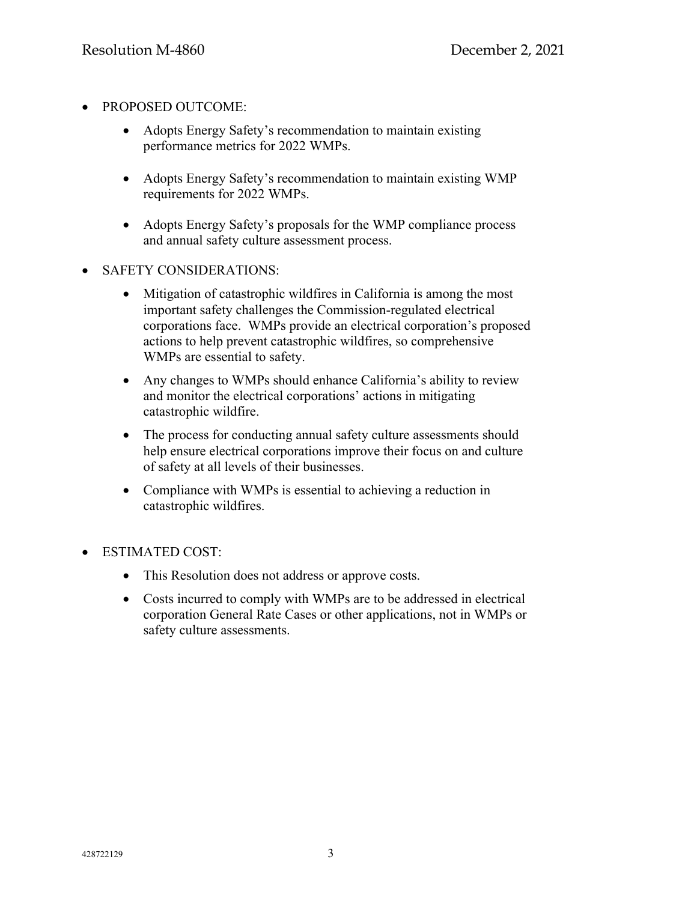- PROPOSED OUTCOME:
	- Adopts Energy Safety's recommendation to maintain existing performance metrics for 2022 WMPs.
	- Adopts Energy Safety's recommendation to maintain existing WMP requirements for 2022 WMPs.
	- Adopts Energy Safety's proposals for the WMP compliance process and annual safety culture assessment process.
- SAFETY CONSIDERATIONS:
	- Mitigation of catastrophic wildfires in California is among the most important safety challenges the Commission-regulated electrical corporations face. WMPs provide an electrical corporation's proposed actions to help prevent catastrophic wildfires, so comprehensive WMPs are essential to safety.
	- Any changes to WMPs should enhance California's ability to review and monitor the electrical corporations' actions in mitigating catastrophic wildfire.
	- The process for conducting annual safety culture assessments should help ensure electrical corporations improve their focus on and culture of safety at all levels of their businesses.
	- Compliance with WMPs is essential to achieving a reduction in catastrophic wildfires.
- ESTIMATED COST:
	- This Resolution does not address or approve costs.
	- Costs incurred to comply with WMPs are to be addressed in electrical corporation General Rate Cases or other applications, not in WMPs or safety culture assessments.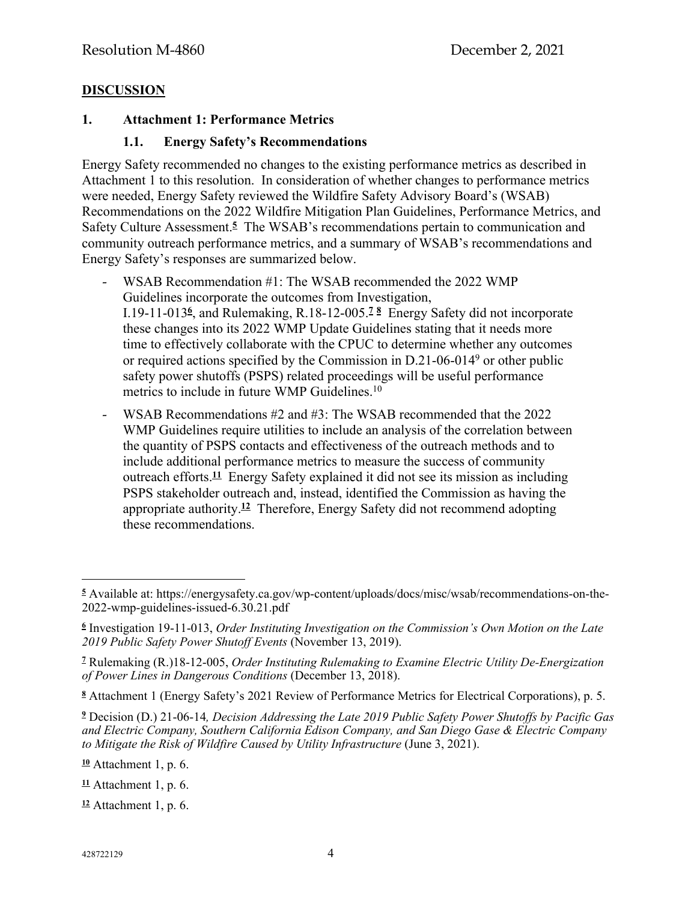### **DISCUSSION**

#### **1. Attachment 1: Performance Metrics**

## **1.1. Energy Safety's Recommendations**

Energy Safety recommended no changes to the existing performance metrics as described in Attachment 1 to this resolution. In consideration of whether changes to performance metrics were needed, Energy Safety reviewed the Wildfire Safety Advisory Board's (WSAB) Recommendations on the 2022 Wildfire Mitigation Plan Guidelines, Performance Metrics, and Safety Culture Assessment.**<sup>5</sup>** The WSAB's recommendations pertain to communication and community outreach performance metrics, and a summary of WSAB's recommendations and Energy Safety's responses are summarized below.

- WSAB Recommendation #1: The WSAB recommended the 2022 WMP Guidelines incorporate the outcomes from Investigation, I.19-11-013**<sup>6</sup>** , and Rulemaking, R.18-12-005.**<sup>7</sup> <sup>8</sup>** Energy Safety did not incorporate these changes into its 2022 WMP Update Guidelines stating that it needs more time to effectively collaborate with the CPUC to determine whether any outcomes or required actions specified by the Commission in D.21-06-014<sup>9</sup> or other public safety power shutoffs (PSPS) related proceedings will be useful performance metrics to include in future WMP Guidelines.<sup>10</sup>
- WSAB Recommendations #2 and #3: The WSAB recommended that the 2022 WMP Guidelines require utilities to include an analysis of the correlation between the quantity of PSPS contacts and effectiveness of the outreach methods and to include additional performance metrics to measure the success of community outreach efforts.**<sup>11</sup>** Energy Safety explained it did not see its mission as including PSPS stakeholder outreach and, instead, identified the Commission as having the appropriate authority.**<sup>12</sup>** Therefore, Energy Safety did not recommend adopting these recommendations.

**<sup>10</sup>** Attachment 1, p. 6.

**<sup>11</sup>** Attachment 1, p. 6.

**<sup>12</sup>** Attachment 1, p. 6.

**<sup>5</sup>** Available at: https://energysafety.ca.gov/wp-content/uploads/docs/misc/wsab/recommendations-on-the-2022-wmp-guidelines-issued-6.30.21.pdf

**<sup>6</sup>** Investigation 19-11-013, *Order Instituting Investigation on the Commission's Own Motion on the Late 2019 Public Safety Power Shutoff Events* (November 13, 2019).

**<sup>7</sup>** Rulemaking (R.)18-12-005, *Order Instituting Rulemaking to Examine Electric Utility De-Energization of Power Lines in Dangerous Conditions* (December 13, 2018).

**<sup>8</sup>** Attachment 1 (Energy Safety's 2021 Review of Performance Metrics for Electrical Corporations), p. 5.

**<sup>9</sup>** Decision (D.) 21-06-14*, Decision Addressing the Late 2019 Public Safety Power Shutoffs by Pacific Gas and Electric Company, Southern California Edison Company, and San Diego Gase & Electric Company to Mitigate the Risk of Wildfire Caused by Utility Infrastructure* (June 3, 2021).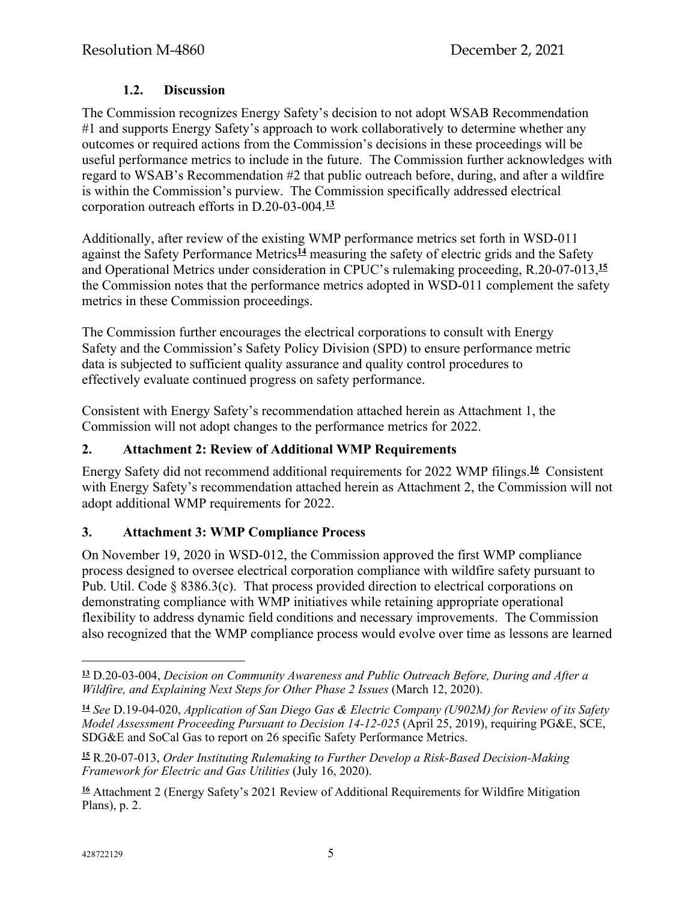## **1.2. Discussion**

The Commission recognizes Energy Safety's decision to not adopt WSAB Recommendation #1 and supports Energy Safety's approach to work collaboratively to determine whether any outcomes or required actions from the Commission's decisions in these proceedings will be useful performance metrics to include in the future. The Commission further acknowledges with regard to WSAB's Recommendation #2 that public outreach before, during, and after a wildfire is within the Commission's purview. The Commission specifically addressed electrical corporation outreach efforts in D.20-03-004.**<sup>13</sup>**

Additionally, after review of the existing WMP performance metrics set forth in WSD-011 against the Safety Performance Metrics**<sup>14</sup>** measuring the safety of electric grids and the Safety and Operational Metrics under consideration in CPUC's rulemaking proceeding, R.20-07-013,**<sup>15</sup>** the Commission notes that the performance metrics adopted in WSD-011 complement the safety metrics in these Commission proceedings.

The Commission further encourages the electrical corporations to consult with Energy Safety and the Commission's Safety Policy Division (SPD) to ensure performance metric data is subjected to sufficient quality assurance and quality control procedures to effectively evaluate continued progress on safety performance.

Consistent with Energy Safety's recommendation attached herein as Attachment 1, the Commission will not adopt changes to the performance metrics for 2022.

## **2. Attachment 2: Review of Additional WMP Requirements**

Energy Safety did not recommend additional requirements for 2022 WMP filings.**<sup>16</sup>** Consistent with Energy Safety's recommendation attached herein as Attachment 2, the Commission will not adopt additional WMP requirements for 2022.

## **3. Attachment 3: WMP Compliance Process**

On November 19, 2020 in WSD-012, the Commission approved the first WMP compliance process designed to oversee electrical corporation compliance with wildfire safety pursuant to Pub. Util. Code § 8386.3(c). That process provided direction to electrical corporations on demonstrating compliance with WMP initiatives while retaining appropriate operational flexibility to address dynamic field conditions and necessary improvements. The Commission also recognized that the WMP compliance process would evolve over time as lessons are learned

**<sup>13</sup>** D.20-03-004, *Decision on Community Awareness and Public Outreach Before, During and After a Wildfire, and Explaining Next Steps for Other Phase 2 Issues* (March 12, 2020).

**<sup>14</sup>** *See* D.19-04-020, *Application of San Diego Gas & Electric Company (U902M) for Review of its Safety Model Assessment Proceeding Pursuant to Decision 14-12-025* (April 25, 2019), requiring PG&E, SCE, SDG&E and SoCal Gas to report on 26 specific Safety Performance Metrics.

**<sup>15</sup>** R.20-07-013, *Order Instituting Rulemaking to Further Develop a Risk-Based Decision-Making Framework for Electric and Gas Utilities* (July 16, 2020).

**<sup>16</sup>** Attachment 2 (Energy Safety's 2021 Review of Additional Requirements for Wildfire Mitigation Plans), p. 2.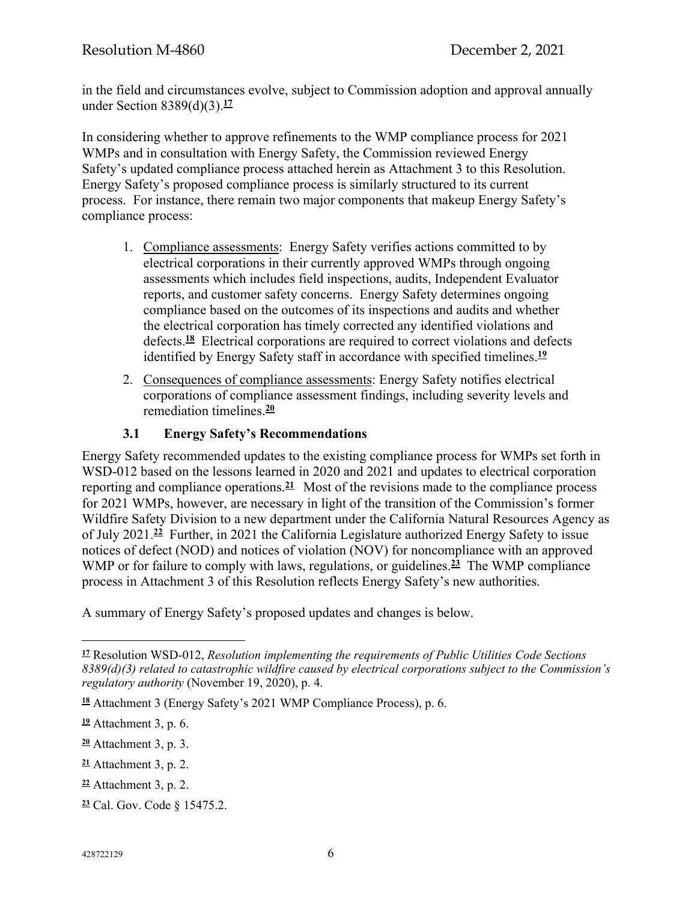in the field and circumstances evolve, subject to Commission adoption and approval annually under Section 8389(d)(3).**<sup>17</sup>**

In considering whether to approve refinements to the WMP compliance process for 2021 WMPs and in consultation with Energy Safety, the Commission reviewed Energy Safety's updated compliance process attached herein as Attachment 3 to this Resolution. Energy Safety's proposed compliance process is similarly structured to its current process. For instance, there remain two major components that makeup Energy Safety's compliance process:

- 1. Compliance assessments: Energy Safety verifies actions committed to by electrical corporations in their currently approved WMPs through ongoing assessments which includes field inspections, audits, Independent Evaluator reports, and customer safety concerns. Energy Safety determines ongoing compliance based on the outcomes of its inspections and audits and whether the electrical corporation has timely corrected any identified violations and defects.**<sup>18</sup>** Electrical corporations are required to correct violations and defects identified by Energy Safety staff in accordance with specified timelines.**<sup>19</sup>**
- 2. Consequences of compliance assessments: Energy Safety notifies electrical corporations of compliance assessment findings, including severity levels and remediation timelines.**<sup>20</sup>**

## **3.1 Energy Safety's Recommendations**

Energy Safety recommended updates to the existing compliance process for WMPs set forth in WSD-012 based on the lessons learned in 2020 and 2021 and updates to electrical corporation reporting and compliance operations.**<sup>21</sup>** Most of the revisions made to the compliance process for 2021 WMPs, however, are necessary in light of the transition of the Commission's former Wildfire Safety Division to a new department under the California Natural Resources Agency as of July 2021.**<sup>22</sup>** Further, in 2021 the California Legislature authorized Energy Safety to issue notices of defect (NOD) and notices of violation (NOV) for noncompliance with an approved WMP or for failure to comply with laws, regulations, or guidelines.<sup>23</sup> The WMP compliance process in Attachment 3 of this Resolution reflects Energy Safety's new authorities.

A summary of Energy Safety's proposed updates and changes is below.

**<sup>17</sup>** Resolution WSD-012, *Resolution implementing the requirements of Public Utilities Code Sections 8389(d)(3) related to catastrophic wildfire caused by electrical corporations subject to the Commission's regulatory authority* (November 19, 2020), p. 4.

**<sup>18</sup>** Attachment 3 (Energy Safety's 2021 WMP Compliance Process), p. 6.

**<sup>19</sup>** Attachment 3, p. 6.

**<sup>20</sup>** Attachment 3, p. 3.

**<sup>21</sup>** Attachment 3, p. 2.

**<sup>22</sup>** Attachment 3, p. 2.

**<sup>23</sup>** Cal. Gov. Code § 15475.2.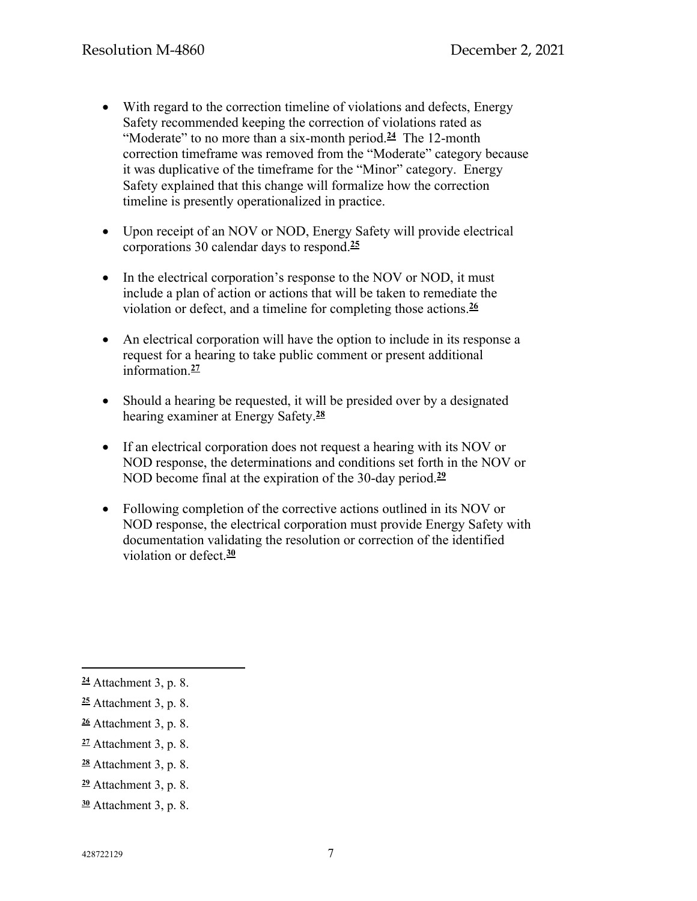- With regard to the correction timeline of violations and defects, Energy Safety recommended keeping the correction of violations rated as "Moderate" to no more than a six-month period.<sup>24</sup> The 12-month correction timeframe was removed from the "Moderate" category because it was duplicative of the timeframe for the "Minor" category. Energy Safety explained that this change will formalize how the correction timeline is presently operationalized in practice.
- Upon receipt of an NOV or NOD, Energy Safety will provide electrical corporations 30 calendar days to respond.**<sup>25</sup>**
- In the electrical corporation's response to the NOV or NOD, it must include a plan of action or actions that will be taken to remediate the violation or defect, and a timeline for completing those actions.**<sup>26</sup>**
- An electrical corporation will have the option to include in its response a request for a hearing to take public comment or present additional information.**<sup>27</sup>**
- Should a hearing be requested, it will be presided over by a designated hearing examiner at Energy Safety.**<sup>28</sup>**
- If an electrical corporation does not request a hearing with its NOV or NOD response, the determinations and conditions set forth in the NOV or NOD become final at the expiration of the 30-day period.**<sup>29</sup>**
- Following completion of the corrective actions outlined in its NOV or NOD response, the electrical corporation must provide Energy Safety with documentation validating the resolution or correction of the identified violation or defect.**<sup>30</sup>**

- **<sup>28</sup>** Attachment 3, p. 8.
- **<sup>29</sup>** Attachment 3, p. 8.
- **<sup>30</sup>** Attachment 3, p. 8.

**<sup>24</sup>** Attachment 3, p. 8.

**<sup>25</sup>** Attachment 3, p. 8.

**<sup>26</sup>** Attachment 3, p. 8.

**<sup>27</sup>** Attachment 3, p. 8.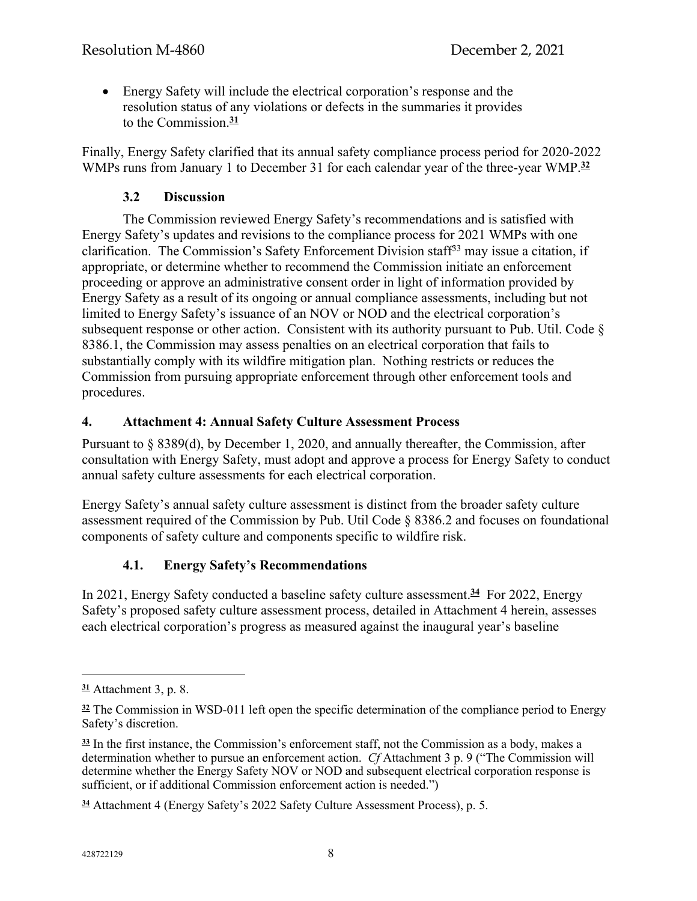Energy Safety will include the electrical corporation's response and the resolution status of any violations or defects in the summaries it provides to the Commission.**<sup>31</sup>**

Finally, Energy Safety clarified that its annual safety compliance process period for 2020-2022 WMPs runs from January 1 to December 31 for each calendar year of the three-year WMP.**<sup>32</sup>**

## **3.2 Discussion**

The Commission reviewed Energy Safety's recommendations and is satisfied with Energy Safety's updates and revisions to the compliance process for 2021 WMPs with one clarification. The Commission's Safety Enforcement Division staff<sup>33</sup> may issue a citation, if appropriate, or determine whether to recommend the Commission initiate an enforcement proceeding or approve an administrative consent order in light of information provided by Energy Safety as a result of its ongoing or annual compliance assessments, including but not limited to Energy Safety's issuance of an NOV or NOD and the electrical corporation's subsequent response or other action. Consistent with its authority pursuant to Pub. Util. Code § 8386.1, the Commission may assess penalties on an electrical corporation that fails to substantially comply with its wildfire mitigation plan. Nothing restricts or reduces the Commission from pursuing appropriate enforcement through other enforcement tools and procedures.

## **4. Attachment 4: Annual Safety Culture Assessment Process**

Pursuant to § 8389(d), by December 1, 2020, and annually thereafter, the Commission, after consultation with Energy Safety, must adopt and approve a process for Energy Safety to conduct annual safety culture assessments for each electrical corporation.

Energy Safety's annual safety culture assessment is distinct from the broader safety culture assessment required of the Commission by Pub. Util Code § 8386.2 and focuses on foundational components of safety culture and components specific to wildfire risk.

## **4.1. Energy Safety's Recommendations**

In 2021, Energy Safety conducted a baseline safety culture assessment.**<sup>34</sup>** For 2022, Energy Safety's proposed safety culture assessment process, detailed in Attachment 4 herein, assesses each electrical corporation's progress as measured against the inaugural year's baseline

**<sup>31</sup>** Attachment 3, p. 8.

**<sup>32</sup>** The Commission in WSD-011 left open the specific determination of the compliance period to Energy Safety's discretion.

**<sup>33</sup>** In the first instance, the Commission's enforcement staff, not the Commission as a body, makes a determination whether to pursue an enforcement action. *Cf* Attachment 3 p. 9 ("The Commission will determine whether the Energy Safety NOV or NOD and subsequent electrical corporation response is sufficient, or if additional Commission enforcement action is needed.")

**<sup>34</sup>** Attachment 4 (Energy Safety's 2022 Safety Culture Assessment Process), p. 5.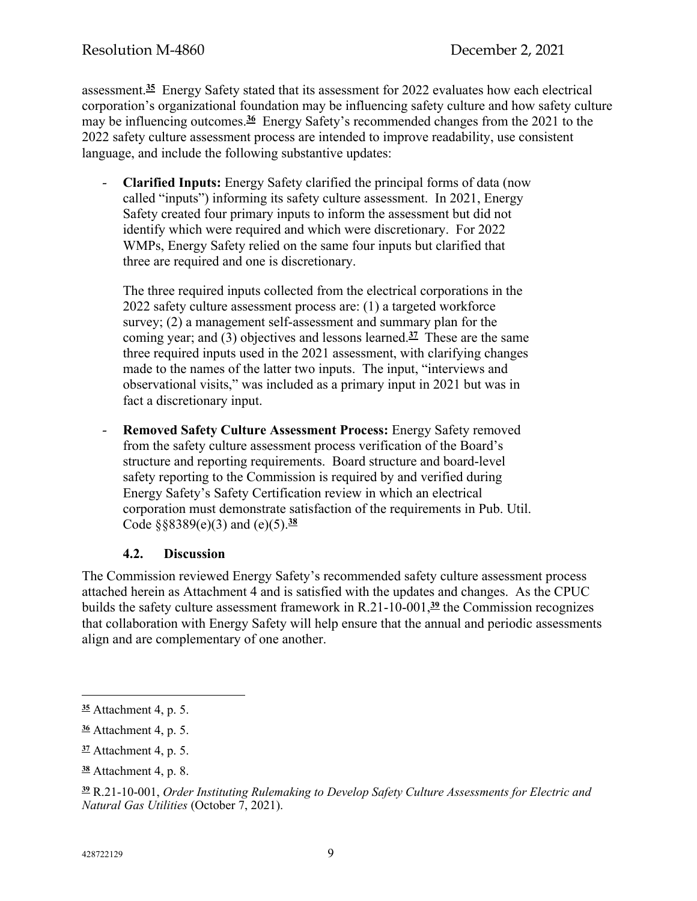assessment.**<sup>35</sup>** Energy Safety stated that its assessment for 2022 evaluates how each electrical corporation's organizational foundation may be influencing safety culture and how safety culture may be influencing outcomes.**<sup>36</sup>** Energy Safety's recommended changes from the 2021 to the 2022 safety culture assessment process are intended to improve readability, use consistent language, and include the following substantive updates:

- **Clarified Inputs:** Energy Safety clarified the principal forms of data (now called "inputs") informing its safety culture assessment. In 2021, Energy Safety created four primary inputs to inform the assessment but did not identify which were required and which were discretionary. For 2022 WMPs, Energy Safety relied on the same four inputs but clarified that three are required and one is discretionary.

The three required inputs collected from the electrical corporations in the 2022 safety culture assessment process are: (1) a targeted workforce survey; (2) a management self-assessment and summary plan for the coming year; and (3) objectives and lessons learned.**<sup>37</sup>** These are the same three required inputs used in the 2021 assessment, with clarifying changes made to the names of the latter two inputs. The input, "interviews and observational visits," was included as a primary input in 2021 but was in fact a discretionary input.

- **Removed Safety Culture Assessment Process:** Energy Safety removed from the safety culture assessment process verification of the Board's structure and reporting requirements. Board structure and board-level safety reporting to the Commission is required by and verified during Energy Safety's Safety Certification review in which an electrical corporation must demonstrate satisfaction of the requirements in Pub. Util. Code §§8389(e)(3) and (e)(5).**<sup>38</sup>**

## **4.2. Discussion**

The Commission reviewed Energy Safety's recommended safety culture assessment process attached herein as Attachment 4 and is satisfied with the updates and changes. As the CPUC builds the safety culture assessment framework in R.21-10-001,**<sup>39</sup>** the Commission recognizes that collaboration with Energy Safety will help ensure that the annual and periodic assessments align and are complementary of one another.

**<sup>35</sup>** Attachment 4, p. 5.

**<sup>36</sup>** Attachment 4, p. 5.

**<sup>37</sup>** Attachment 4, p. 5.

**<sup>38</sup>** Attachment 4, p. 8.

**<sup>39</sup>** R.21-10-001, *Order Instituting Rulemaking to Develop Safety Culture Assessments for Electric and Natural Gas Utilities* (October 7, 2021).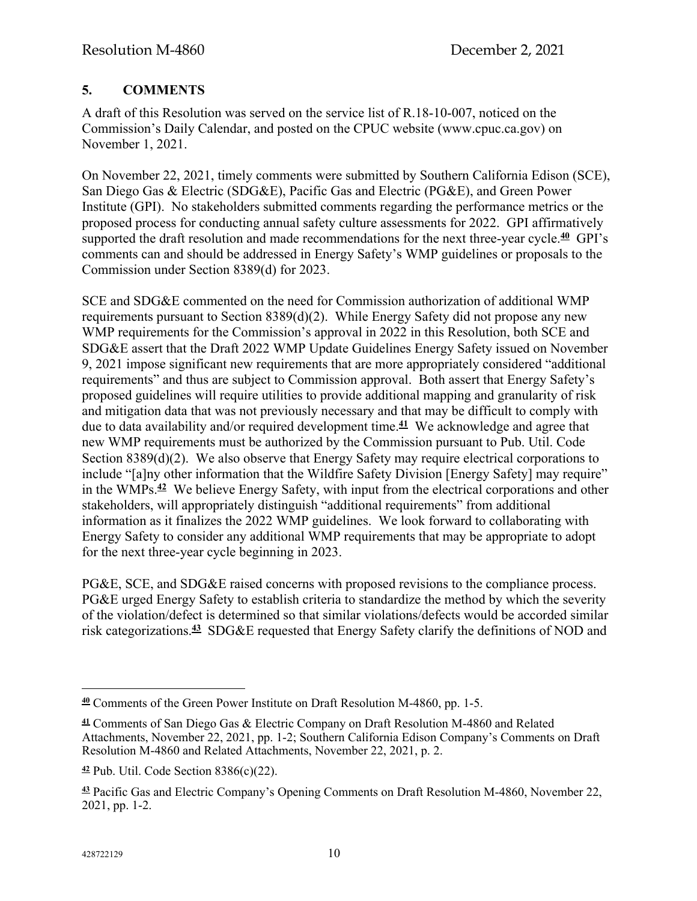# **5. COMMENTS**

A draft of this Resolution was served on the service list of R.18-10-007, noticed on the Commission's Daily Calendar, and posted on the CPUC website (www.cpuc.ca.gov) on November 1, 2021.

On November 22, 2021, timely comments were submitted by Southern California Edison (SCE), San Diego Gas & Electric (SDG&E), Pacific Gas and Electric (PG&E), and Green Power Institute (GPI). No stakeholders submitted comments regarding the performance metrics or the proposed process for conducting annual safety culture assessments for 2022. GPI affirmatively supported the draft resolution and made recommendations for the next three-year cycle.**<sup>40</sup>** GPI's comments can and should be addressed in Energy Safety's WMP guidelines or proposals to the Commission under Section 8389(d) for 2023.

SCE and SDG&E commented on the need for Commission authorization of additional WMP requirements pursuant to Section 8389(d)(2). While Energy Safety did not propose any new WMP requirements for the Commission's approval in 2022 in this Resolution, both SCE and SDG&E assert that the Draft 2022 WMP Update Guidelines Energy Safety issued on November 9, 2021 impose significant new requirements that are more appropriately considered "additional requirements" and thus are subject to Commission approval. Both assert that Energy Safety's proposed guidelines will require utilities to provide additional mapping and granularity of risk and mitigation data that was not previously necessary and that may be difficult to comply with due to data availability and/or required development time.**<sup>41</sup>** We acknowledge and agree that new WMP requirements must be authorized by the Commission pursuant to Pub. Util. Code Section 8389(d)(2). We also observe that Energy Safety may require electrical corporations to include "[a]ny other information that the Wildfire Safety Division [Energy Safety] may require" in the WMPs.**<sup>42</sup>** We believe Energy Safety, with input from the electrical corporations and other stakeholders, will appropriately distinguish "additional requirements" from additional information as it finalizes the 2022 WMP guidelines. We look forward to collaborating with Energy Safety to consider any additional WMP requirements that may be appropriate to adopt for the next three-year cycle beginning in 2023.

PG&E, SCE, and SDG&E raised concerns with proposed revisions to the compliance process. PG&E urged Energy Safety to establish criteria to standardize the method by which the severity of the violation/defect is determined so that similar violations/defects would be accorded similar risk categorizations.**<sup>43</sup>** SDG&E requested that Energy Safety clarify the definitions of NOD and

**<sup>40</sup>** Comments of the Green Power Institute on Draft Resolution M-4860, pp. 1-5.

**<sup>41</sup>** Comments of San Diego Gas & Electric Company on Draft Resolution M-4860 and Related Attachments, November 22, 2021, pp. 1-2; Southern California Edison Company's Comments on Draft Resolution M-4860 and Related Attachments, November 22, 2021, p. 2.

**<sup>42</sup>** Pub. Util. Code Section 8386(c)(22).

**<sup>43</sup>** Pacific Gas and Electric Company's Opening Comments on Draft Resolution M-4860, November 22, 2021, pp. 1-2.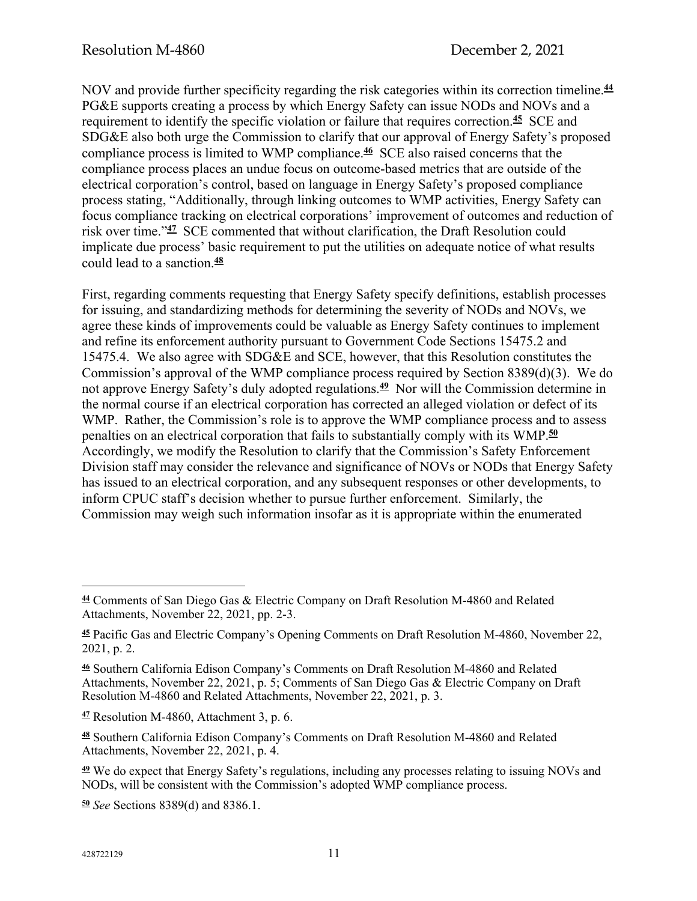NOV and provide further specificity regarding the risk categories within its correction timeline.**<sup>44</sup>** PG&E supports creating a process by which Energy Safety can issue NODs and NOVs and a requirement to identify the specific violation or failure that requires correction.**<sup>45</sup>** SCE and SDG&E also both urge the Commission to clarify that our approval of Energy Safety's proposed compliance process is limited to WMP compliance.**<sup>46</sup>** SCE also raised concerns that the compliance process places an undue focus on outcome-based metrics that are outside of the electrical corporation's control, based on language in Energy Safety's proposed compliance process stating, "Additionally, through linking outcomes to WMP activities, Energy Safety can focus compliance tracking on electrical corporations' improvement of outcomes and reduction of risk over time."**<sup>47</sup>** SCE commented that without clarification, the Draft Resolution could implicate due process' basic requirement to put the utilities on adequate notice of what results could lead to a sanction.**<sup>48</sup>**

First, regarding comments requesting that Energy Safety specify definitions, establish processes for issuing, and standardizing methods for determining the severity of NODs and NOVs, we agree these kinds of improvements could be valuable as Energy Safety continues to implement and refine its enforcement authority pursuant to Government Code Sections 15475.2 and 15475.4. We also agree with SDG&E and SCE, however, that this Resolution constitutes the Commission's approval of the WMP compliance process required by Section 8389(d)(3). We do not approve Energy Safety's duly adopted regulations.**<sup>49</sup>** Nor will the Commission determine in the normal course if an electrical corporation has corrected an alleged violation or defect of its WMP. Rather, the Commission's role is to approve the WMP compliance process and to assess penalties on an electrical corporation that fails to substantially comply with its WMP.**<sup>50</sup>** Accordingly, we modify the Resolution to clarify that the Commission's Safety Enforcement Division staff may consider the relevance and significance of NOVs or NODs that Energy Safety has issued to an electrical corporation, and any subsequent responses or other developments, to inform CPUC staff's decision whether to pursue further enforcement. Similarly, the Commission may weigh such information insofar as it is appropriate within the enumerated

**<sup>44</sup>** Comments of San Diego Gas & Electric Company on Draft Resolution M-4860 and Related Attachments, November 22, 2021, pp. 2-3.

**<sup>45</sup>** Pacific Gas and Electric Company's Opening Comments on Draft Resolution M-4860, November 22, 2021, p. 2.

**<sup>46</sup>** Southern California Edison Company's Comments on Draft Resolution M-4860 and Related Attachments, November 22, 2021, p. 5; Comments of San Diego Gas & Electric Company on Draft Resolution M-4860 and Related Attachments, November 22, 2021, p. 3.

**<sup>47</sup>** Resolution M-4860, Attachment 3, p. 6.

**<sup>48</sup>** Southern California Edison Company's Comments on Draft Resolution M-4860 and Related Attachments, November 22, 2021, p. 4.

**<sup>49</sup>** We do expect that Energy Safety's regulations, including any processes relating to issuing NOVs and NODs, will be consistent with the Commission's adopted WMP compliance process.

**<sup>50</sup>** *See* Sections 8389(d) and 8386.1.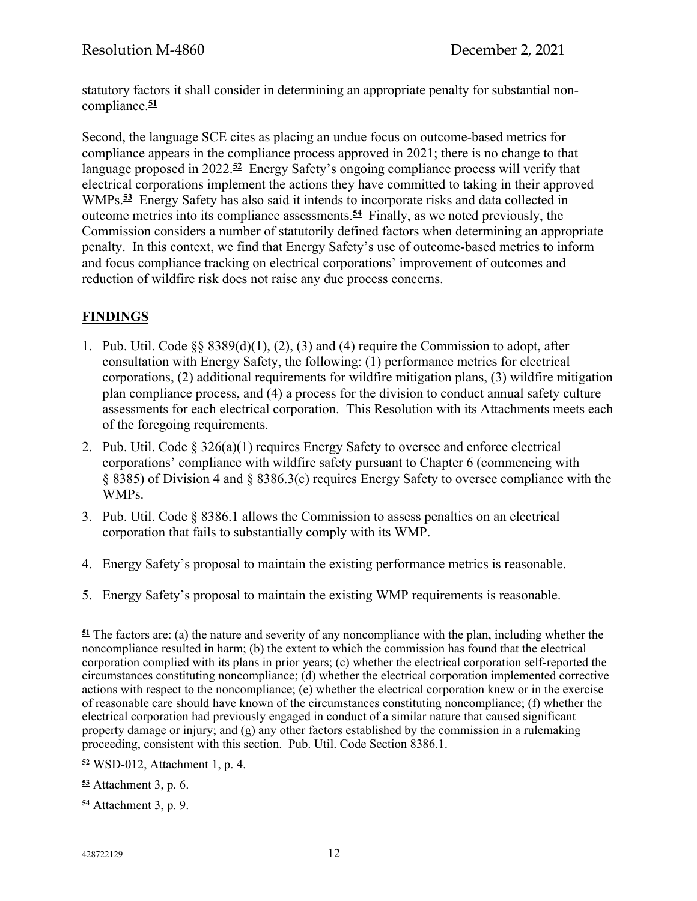statutory factors it shall consider in determining an appropriate penalty for substantial noncompliance.**<sup>51</sup>**

Second, the language SCE cites as placing an undue focus on outcome-based metrics for compliance appears in the compliance process approved in 2021; there is no change to that language proposed in 2022.**<sup>52</sup>** Energy Safety's ongoing compliance process will verify that electrical corporations implement the actions they have committed to taking in their approved WMPs.**<sup>53</sup>** Energy Safety has also said it intends to incorporate risks and data collected in outcome metrics into its compliance assessments.**<sup>54</sup>** Finally, as we noted previously, the Commission considers a number of statutorily defined factors when determining an appropriate penalty. In this context, we find that Energy Safety's use of outcome-based metrics to inform and focus compliance tracking on electrical corporations' improvement of outcomes and reduction of wildfire risk does not raise any due process concerns.

## **FINDINGS**

- 1. Pub. Util. Code §§ 8389(d)(1), (2), (3) and (4) require the Commission to adopt, after consultation with Energy Safety, the following: (1) performance metrics for electrical corporations, (2) additional requirements for wildfire mitigation plans, (3) wildfire mitigation plan compliance process, and (4) a process for the division to conduct annual safety culture assessments for each electrical corporation. This Resolution with its Attachments meets each of the foregoing requirements.
- 2. Pub. Util. Code  $\S 326(a)(1)$  requires Energy Safety to oversee and enforce electrical corporations' compliance with wildfire safety pursuant to Chapter 6 (commencing with § 8385) of Division 4 and § 8386.3(c) requires Energy Safety to oversee compliance with the WMPs.
- 3. Pub. Util. Code  $\S 8386.1$  allows the Commission to assess penalties on an electrical corporation that fails to substantially comply with its WMP.
- 4. Energy Safety's proposal to maintain the existing performance metrics is reasonable.
- 5. Energy Safety's proposal to maintain the existing WMP requirements is reasonable.

**<sup>51</sup>** The factors are: (a) the nature and severity of any noncompliance with the plan, including whether the noncompliance resulted in harm; (b) the extent to which the commission has found that the electrical corporation complied with its plans in prior years; (c) whether the electrical corporation self-reported the circumstances constituting noncompliance; (d) whether the electrical corporation implemented corrective actions with respect to the noncompliance; (e) whether the electrical corporation knew or in the exercise of reasonable care should have known of the circumstances constituting noncompliance; (f) whether the electrical corporation had previously engaged in conduct of a similar nature that caused significant property damage or injury; and (g) any other factors established by the commission in a rulemaking proceeding, consistent with this section. Pub. Util. Code Section 8386.1.

**<sup>52</sup>** WSD-012, Attachment 1, p. 4.

**<sup>53</sup>** Attachment 3, p. 6.

**<sup>54</sup>** Attachment 3, p. 9.